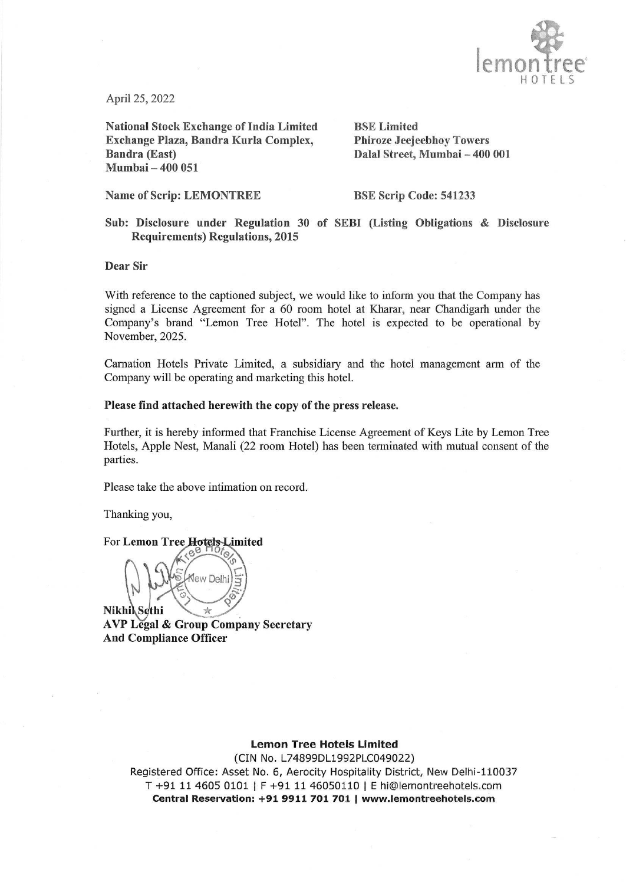

April 25, 2022

National Stock Exchange of India Limited BSE Limited Exchange Plaza, Bandra Kurla Complex, Phiroze Jeejeebhoy Towers Bandra (East) Dalal Street, Mumbai — 400 001 Mumbai — 400 051

Name of Scrip: LEMONTREE BSE Scrip Code: 541233

Sub: Disclosure under Regulation 30 of SEBI (Listing Obligations & Disclosure Requirements) Regulations, 2015

Dear Sir

With reference to the captioned subject, we would like to inform you that the Company has signed a License Agreement for a 60 room hotel at Kharar, near Chandigarh under the Company's brand "Lemon Tree Hotel". The hotel is expected to be operational by November, 2025.

Carnation Hotels Private Limited, a subsidiary and the hotel management arm of the Company will be operating and marketing this hotel.

## Please find attached herewith the copy of the press release.

Further, it is hereby informed that Franchise License Agreement of Keys Lite by Lemon Tree Hotels, Apple Nest, Manali (22 room Hotel) has been terminated with mutual consent of the parties.

Please take the above intimation on record.

Thanking you,

For Lemon Tree Hotels Limited  $e^e$ 

Ne Kew Delhi

AVP Légal & Group Company Secretary And Compliance Officer

## Lemon Tree Hotels Limited

(CIN No. L74899DL1992P1.C049022)

s.com<br>com<br> Registered<br>T +91 1<br>Centra Registered Office: Asset No. 6, Aerocity Hospitality District, New Delhi-110037 T +91 11 4605 0101 | F +91 11 46050110 | E hi@lemontreehotels.com Central Reservation: +91 9911 701 701 | www.lemontreehotels.com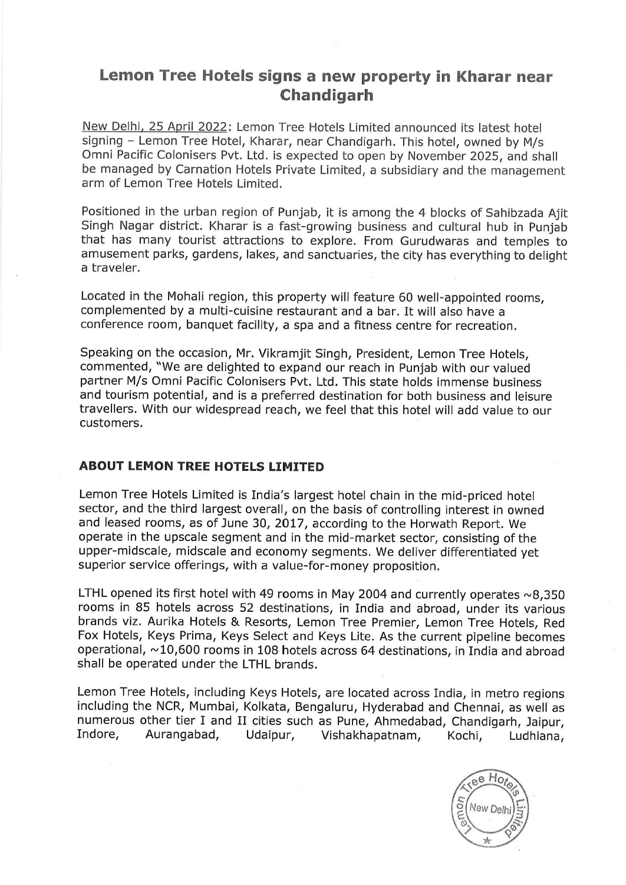## Lemon Tree Hotels signs a new property in Kharar near Chandigarh

New Delhi, 25 April 2022: Lemon Tree Hotels Limited announced its latest hotel signing - Lemon Tree Hotel, Kharar, near Chandigarh. This hotel, owned by M/s Omni Pacific Colonisers Pvt. Ltd. is expected to open by November 2025, and shall be managed by Carnation Hotels Private Limited, a subsidiary and the management arm of Lemon Tree Hotels Limited.

Positioned in the urban region of Punjab, it is among the 4 blocks of Sahibzada Ajit Singh Nagar district. Kharar is a fast-growing business and cultural hub in Punjab that has many tourist attractions to explore. From Gurudwaras and temples to amusement parks, gardens, lakes, and sanctuaries, the city has everything to delight a traveler.

Located in the Mohali region, this property will feature 60 well-appointed rooms, complemented by a multi-cuisine restaurant and a bar. It will also have a conference room, banquet facility, a spa and a fitness centre for recreation.

Speaking on the occasion, Mr. Vikramjit Singh, President, Lemon Tree Hotels, commented, "We are delighted to expand our reach in Punjab with our valued partner M/s Omni Pacific Colonisers Pvt. Ltd. This state holds immense business and tourism potential, and is a preferred destination for both business and leisure travellers. With our widespread reach, we feel that this hotel will add value to our customers.

## ABOUT LEMON TREE HOTELS LIMITED

Lemon Tree Hotels Limited is India's largest hotel chain in the mid-priced hotel sector, and the third largest overall, on the basis of controlling interest in owned and leased rooms, as of June 30, 2017, according to the Horwath Report. We operate in the upscale segment and in the mid-market sector, consisting of the upper-midscale, midscale and economy segments. We deliver differentiated yet superior service offerings, with a value-for-money proposition.

LTHL opened its first hotel with 49 rooms in May 2004 and currently operates  $\sim$ 8,350 rooms in 85 hotels across 52 destinations, in India and abroad, under its various brands viz. Aurika Hotels & Resorts, Lemon Tree Premier, Lemon Tree Hotels, Red<br>Fox Hotels, Keys Prima, Keys Select and Keys Lite. As the current pipeline becomes operational, ~10,600 rooms in 108 hotels across 64 destinations, in India and abroad shall be operated under the LTHL brands.

Lemon Tree Hotels, including Keys Hotels, are located across India, in metro regions including the NCR, Mumbai, Kolkata, Bengaluru, Hyderabad and Chennai, as well as numerous other tier I and II cities such as Pune, Ahmedabad, Chandigarh, Jaipur, Indore, Aurangabad, Udaipur, Vishakhapatnam, Kochi, Ludhiana,